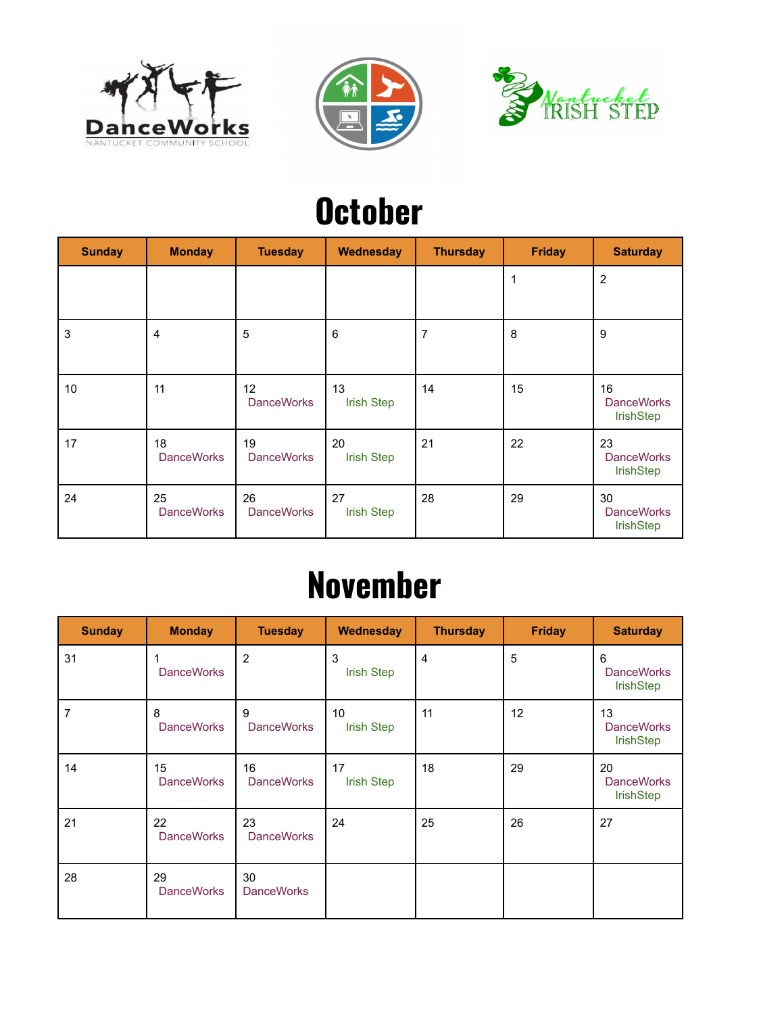





### **October**

| <b>Sunday</b> | <b>Monday</b>           | <b>Tuesday</b>          | Wednesday               | <b>Thursday</b> | <b>Friday</b> | <b>Saturday</b>                             |
|---------------|-------------------------|-------------------------|-------------------------|-----------------|---------------|---------------------------------------------|
|               |                         |                         |                         |                 | 1             | $\overline{2}$                              |
| 3             | 4                       | 5                       | 6                       | $\overline{7}$  | 8             | 9                                           |
| 10            | 11                      | 12<br><b>DanceWorks</b> | 13<br><b>Irish Step</b> | 14              | 15            | 16<br><b>DanceWorks</b><br><b>IrishStep</b> |
| 17            | 18<br><b>DanceWorks</b> | 19<br><b>DanceWorks</b> | 20<br><b>Irish Step</b> | 21              | 22            | 23<br><b>DanceWorks</b><br><b>IrishStep</b> |
| 24            | 25<br><b>DanceWorks</b> | 26<br><b>DanceWorks</b> | 27<br><b>Irish Step</b> | 28              | 29            | 30<br><b>DanceWorks</b><br><b>IrishStep</b> |

#### **November**

| <b>Sunday</b> | <b>Monday</b>           | <b>Tuesday</b>          | Wednesday                            | <b>Thursday</b> | <b>Friday</b> | <b>Saturday</b>                             |
|---------------|-------------------------|-------------------------|--------------------------------------|-----------------|---------------|---------------------------------------------|
| 31            | <b>DanceWorks</b>       | $\overline{2}$          | 3<br><b>Irish Step</b>               | 4               | 5             | 6<br><b>DanceWorks</b><br><b>IrishStep</b>  |
| 7             | 8<br><b>DanceWorks</b>  | 9<br><b>DanceWorks</b>  | 10 <sup>°</sup><br><b>Irish Step</b> | 11              | 12            | 13<br><b>DanceWorks</b><br><b>IrishStep</b> |
| 14            | 15<br><b>DanceWorks</b> | 16<br><b>DanceWorks</b> | 17<br><b>Irish Step</b>              | 18              | 29            | 20<br><b>DanceWorks</b><br><b>IrishStep</b> |
| 21            | 22<br><b>DanceWorks</b> | 23<br><b>DanceWorks</b> | 24                                   | 25              | 26            | 27                                          |
| 28            | 29<br><b>DanceWorks</b> | 30<br><b>DanceWorks</b> |                                      |                 |               |                                             |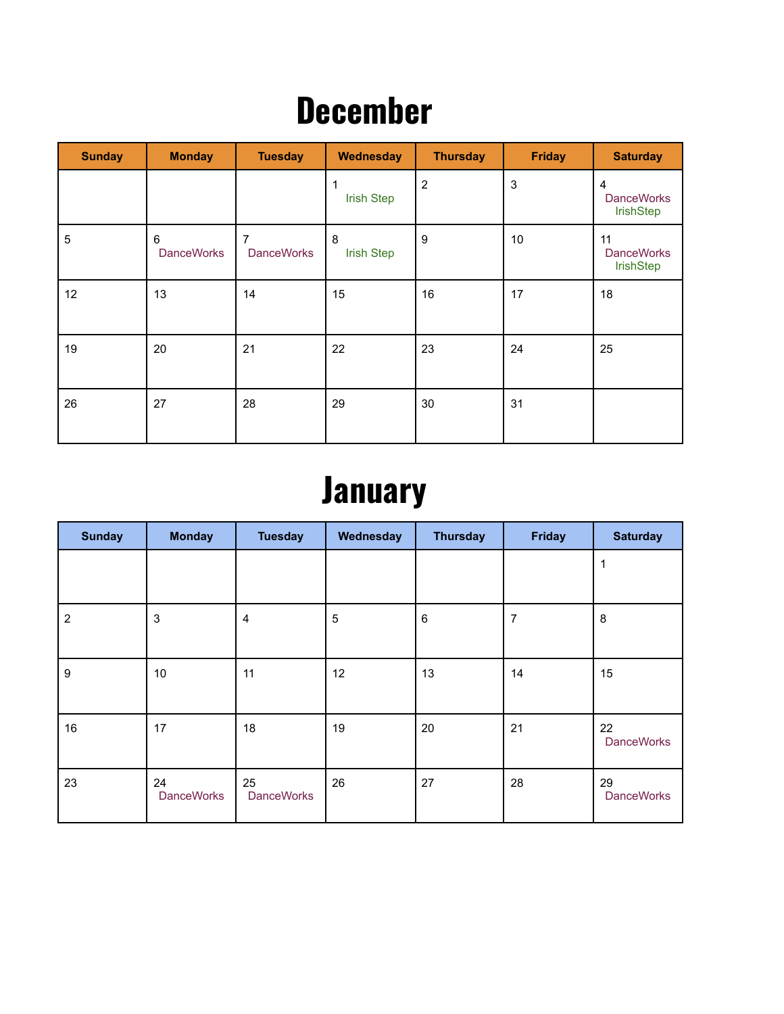#### **December**

| <b>Sunday</b> | <b>Monday</b>          | <b>Tuesday</b>         | Wednesday              | <b>Thursday</b> | <b>Friday</b> | <b>Saturday</b>                                  |
|---------------|------------------------|------------------------|------------------------|-----------------|---------------|--------------------------------------------------|
|               |                        |                        | <b>Irish Step</b>      | $\overline{2}$  | $\mathbf{3}$  | $\overline{4}$<br><b>DanceWorks</b><br>IrishStep |
| 5             | 6<br><b>DanceWorks</b> | 7<br><b>DanceWorks</b> | 8<br><b>Irish Step</b> | 9               | 10            | 11<br><b>DanceWorks</b><br>IrishStep             |
| 12            | 13                     | 14                     | 15                     | 16              | 17            | 18                                               |
| 19            | 20                     | 21                     | 22                     | 23              | 24            | 25                                               |
| 26            | 27                     | 28                     | 29                     | 30              | 31            |                                                  |

# **January**

| <b>Sunday</b>    | <b>Monday</b>           | <b>Tuesday</b>          | Wednesday  | <b>Thursday</b> | <b>Friday</b>  | <b>Saturday</b>         |
|------------------|-------------------------|-------------------------|------------|-----------------|----------------|-------------------------|
|                  |                         |                         |            |                 |                | 1                       |
| $\overline{2}$   | $\mathbf{3}$            | $\overline{4}$          | $\sqrt{5}$ | $\,6\,$         | $\overline{7}$ | 8                       |
| $\boldsymbol{9}$ | 10                      | 11                      | 12         | 13              | 14             | 15                      |
| 16               | 17                      | 18                      | 19         | 20              | 21             | 22<br><b>DanceWorks</b> |
| 23               | 24<br><b>DanceWorks</b> | 25<br><b>DanceWorks</b> | 26         | 27              | 28             | 29<br><b>DanceWorks</b> |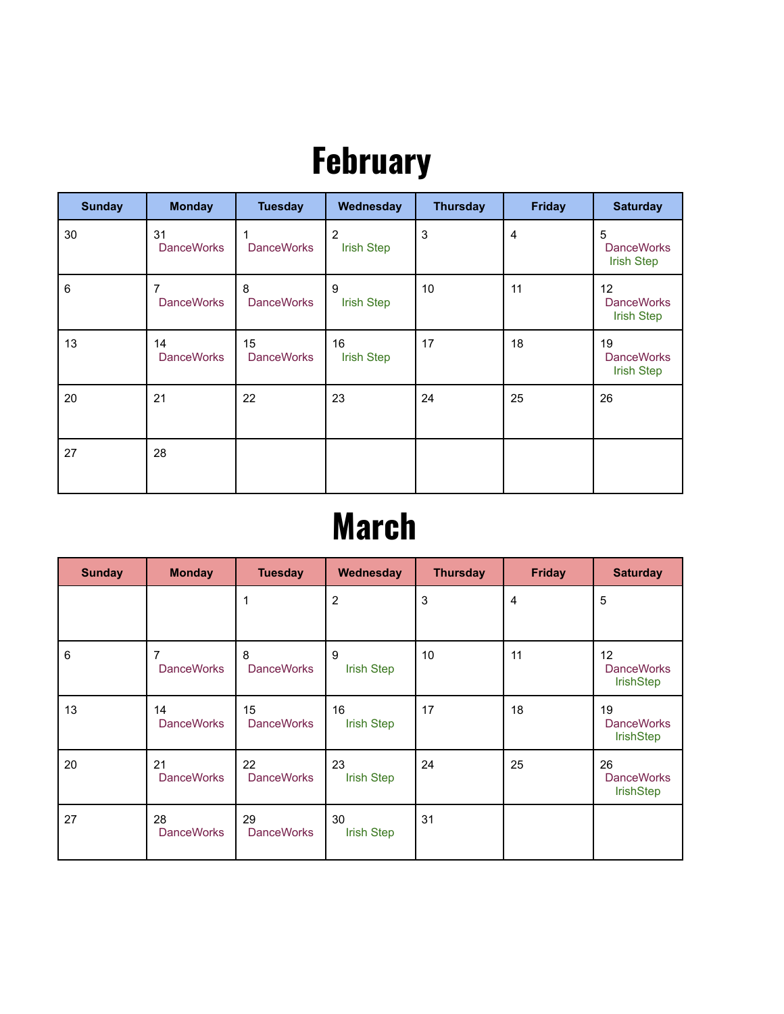# **February**

| <b>Sunday</b> | <b>Monday</b>           | <b>Tuesday</b>          | Wednesday                           | <b>Thursday</b> | <b>Friday</b>  | <b>Saturday</b>                              |
|---------------|-------------------------|-------------------------|-------------------------------------|-----------------|----------------|----------------------------------------------|
| 30            | 31<br><b>DanceWorks</b> | <b>DanceWorks</b>       | $\overline{2}$<br><b>Irish Step</b> | 3               | $\overline{4}$ | 5<br><b>DanceWorks</b><br><b>Irish Step</b>  |
| 6             | 7<br><b>DanceWorks</b>  | 8<br><b>DanceWorks</b>  | 9<br><b>Irish Step</b>              | 10              | 11             | 12<br><b>DanceWorks</b><br><b>Irish Step</b> |
| 13            | 14<br><b>DanceWorks</b> | 15<br><b>DanceWorks</b> | 16<br><b>Irish Step</b>             | 17              | 18             | 19<br><b>DanceWorks</b><br><b>Irish Step</b> |
| 20            | 21                      | 22                      | 23                                  | 24              | 25             | 26                                           |
| 27            | 28                      |                         |                                     |                 |                |                                              |

#### **March**

| <b>Sunday</b> | <b>Monday</b>           | <b>Tuesday</b>          | Wednesday               | <b>Thursday</b> | <b>Friday</b>  | <b>Saturday</b>                             |
|---------------|-------------------------|-------------------------|-------------------------|-----------------|----------------|---------------------------------------------|
|               |                         | 1                       | $\overline{2}$          | 3               | $\overline{4}$ | 5                                           |
| 6             | 7<br><b>DanceWorks</b>  | 8<br><b>DanceWorks</b>  | 9<br><b>Irish Step</b>  | 10              | 11             | 12<br><b>DanceWorks</b><br><b>IrishStep</b> |
| 13            | 14<br><b>DanceWorks</b> | 15<br><b>DanceWorks</b> | 16<br><b>Irish Step</b> | 17              | 18             | 19<br><b>DanceWorks</b><br><b>IrishStep</b> |
| 20            | 21<br><b>DanceWorks</b> | 22<br><b>DanceWorks</b> | 23<br><b>Irish Step</b> | 24              | 25             | 26<br><b>DanceWorks</b><br><b>IrishStep</b> |
| 27            | 28<br><b>DanceWorks</b> | 29<br><b>DanceWorks</b> | 30<br><b>Irish Step</b> | 31              |                |                                             |